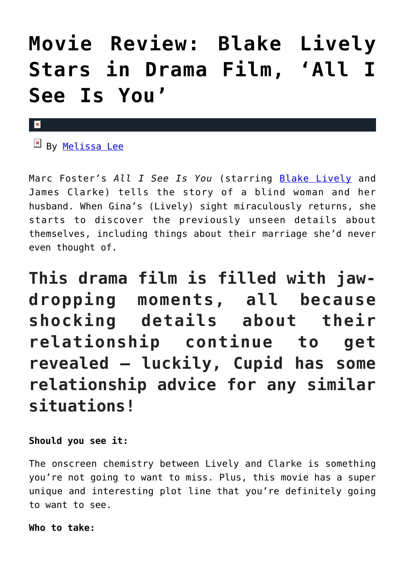## **[Movie Review: Blake Lively](https://cupidspulse.com/119308/movie-review-blake-lively-drama-film-all-i-see-is-you/) [Stars in Drama Film, 'All I](https://cupidspulse.com/119308/movie-review-blake-lively-drama-film-all-i-see-is-you/) [See Is You'](https://cupidspulse.com/119308/movie-review-blake-lively-drama-film-all-i-see-is-you/)**

## $\pmb{\times}$

 $\mathbb{F}$  By [Melissa Lee](http://cupidspulse.com/118747/melissa-lee/)

Marc Foster's *All I See Is You* (starring [Blake Lively](http://cupidspulse.com/93047/blake-lively/) and James Clarke) tells the story of a blind woman and her husband. When Gina's (Lively) sight miraculously returns, she starts to discover the previously unseen details about themselves, including things about their marriage she'd never even thought of.

**This drama film is filled with jawdropping moments, all because shocking details about their relationship continue to get revealed — luckily, Cupid has some relationship advice for any similar situations!**

**Should you see it:**

The onscreen chemistry between Lively and Clarke is something you're not going to want to miss. Plus, this movie has a super unique and interesting plot line that you're definitely going to want to see.

**Who to take:**